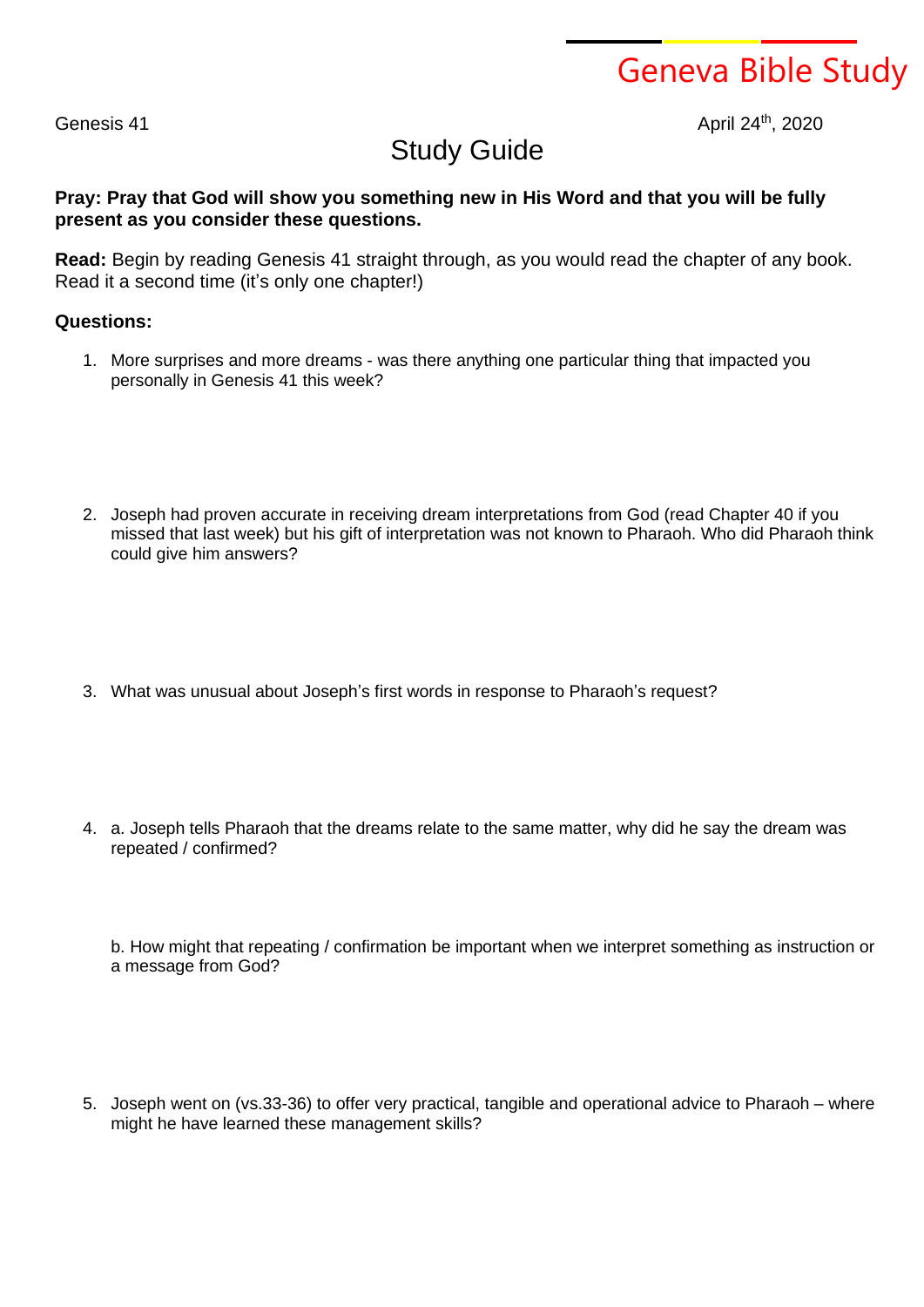Geneva Bible Study

Genesis 41

April 24th, 2020

## Study Guide

## **Pray: Pray that God will show you something new in His Word and that you will be fully present as you consider these questions.**

**Read:** Begin by reading Genesis 41 straight through, as you would read the chapter of any book. Read it a second time (it's only one chapter!)

## **Questions:**

- 1. More surprises and more dreams was there anything one particular thing that impacted you personally in Genesis 41 this week?
- 2. Joseph had proven accurate in receiving dream interpretations from God (read Chapter 40 if you missed that last week) but his gift of interpretation was not known to Pharaoh. Who did Pharaoh think could give him answers?
- 3. What was unusual about Joseph's first words in response to Pharaoh's request?
- 4. a. Joseph tells Pharaoh that the dreams relate to the same matter, why did he say the dream was repeated / confirmed?

b. How might that repeating / confirmation be important when we interpret something as instruction or a message from God?

5. Joseph went on (vs.33-36) to offer very practical, tangible and operational advice to Pharaoh – where might he have learned these management skills?